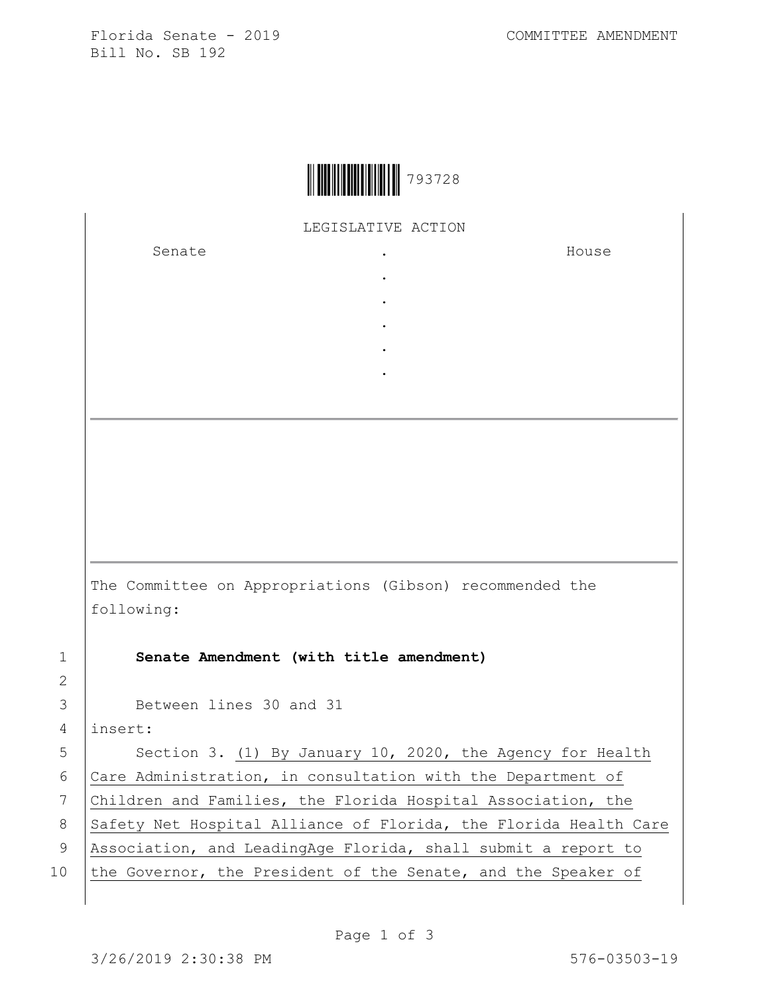Florida Senate - 2019 COMMITTEE AMENDMENT Bill No. SB 192



LEGISLATIVE ACTION

. . . . .

Senate the senate of the senate  $\cdot$ 

House

The Committee on Appropriations (Gibson) recommended the following:

1 **Senate Amendment (with title amendment)**

3 Between lines 30 and 31

4 insert:

5 | Section 3. (1) By January 10, 2020, the Agency for Health 6 Care Administration, in consultation with the Department of 7 Children and Families, the Florida Hospital Association, the 8 Safety Net Hospital Alliance of Florida, the Florida Health Care 9 Association, and LeadingAge Florida, shall submit a report to 10 the Governor, the President of the Senate, and the Speaker of

2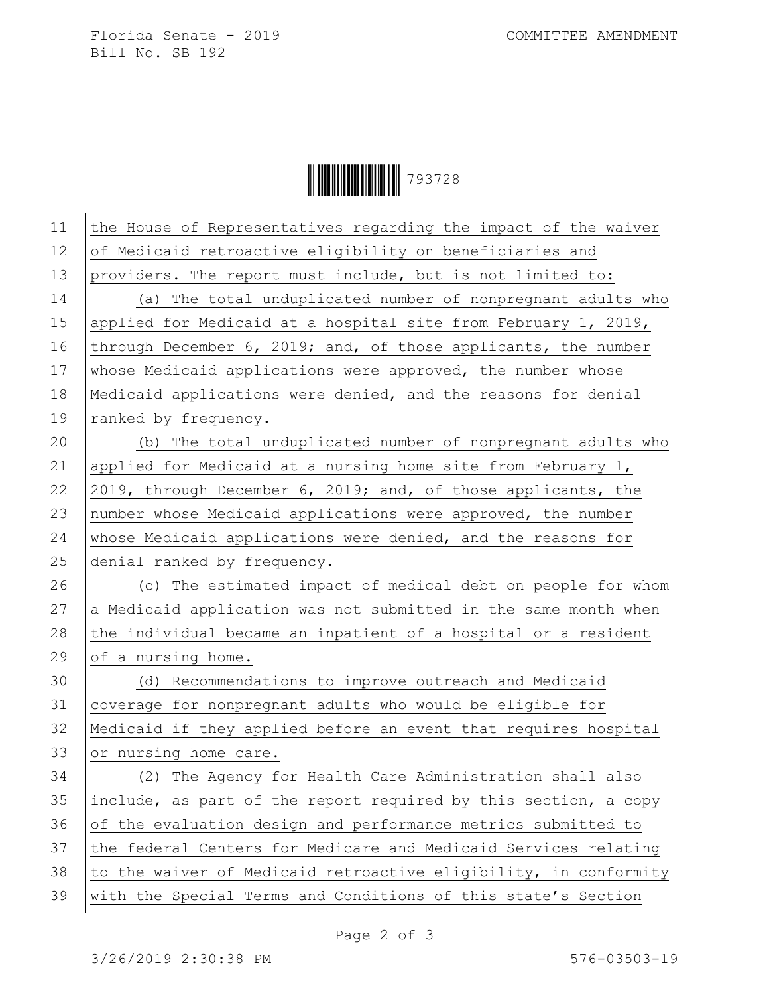Florida Senate - 2019 COMMITTEE AMENDMENT Bill No. SB 192

Ì793728MÎ793728

| 11 | the House of Representatives regarding the impact of the waiver  |
|----|------------------------------------------------------------------|
| 12 | of Medicaid retroactive eligibility on beneficiaries and         |
| 13 | providers. The report must include, but is not limited to:       |
| 14 | (a) The total unduplicated number of nonpregnant adults who      |
| 15 | applied for Medicaid at a hospital site from February 1, 2019,   |
| 16 | through December 6, 2019; and, of those applicants, the number   |
| 17 | whose Medicaid applications were approved, the number whose      |
| 18 | Medicaid applications were denied, and the reasons for denial    |
| 19 | ranked by frequency.                                             |
| 20 | (b) The total unduplicated number of nonpregnant adults who      |
| 21 | applied for Medicaid at a nursing home site from February 1,     |
| 22 | 2019, through December 6, 2019; and, of those applicants, the    |
| 23 | number whose Medicaid applications were approved, the number     |
| 24 | whose Medicaid applications were denied, and the reasons for     |
| 25 | denial ranked by frequency.                                      |
| 26 | (c) The estimated impact of medical debt on people for whom      |
| 27 | a Medicaid application was not submitted in the same month when  |
| 28 | the individual became an inpatient of a hospital or a resident   |
| 29 | of a nursing home.                                               |
| 30 | (d) Recommendations to improve outreach and Medicaid             |
| 31 | coverage for nonpregnant adults who would be eligible for        |
| 32 | Medicaid if they applied before an event that requires hospital  |
| 33 | or nursing home care.                                            |
| 34 | (2) The Agency for Health Care Administration shall also         |
| 35 | include, as part of the report required by this section, a copy  |
| 36 | of the evaluation design and performance metrics submitted to    |
| 37 | the federal Centers for Medicare and Medicaid Services relating  |
| 38 | to the waiver of Medicaid retroactive eligibility, in conformity |
| 39 | with the Special Terms and Conditions of this state's Section    |
|    |                                                                  |